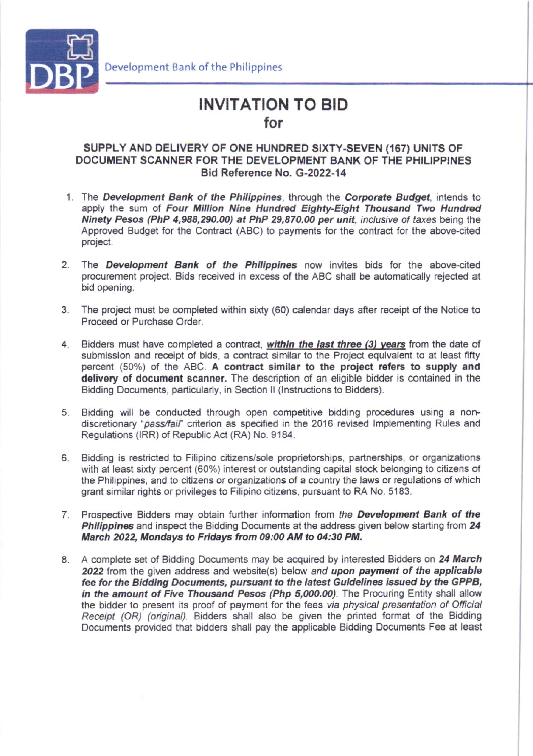

## **INVITATION TO BID** for

## SUPPLY AND DELIVERY OF ONE HUNDRED SIXTY-SEVEN (167) UNITS OF DOCUMENT SCANNER FOR THE DEVELOPMENT BANK OF THE PHILIPPINES Bid Reference No. G-2022-14

- 1. The Development Bank of the Philippines, through the Corporate Budget, intends to apply the sum of Four Million Nine Hundred Eighty-Eight Thousand Two Hundred Ninety Pesos (PhP 4,988,290.00) at PhP 29,870.00 per unit, inclusive of taxes being the Approved Budget for the Contract (ABC) to payments for the contract for the above-cited project.
- 2. The Development Bank of the Philippines now invites bids for the above-cited procurement project. Bids received in excess of the ABC shall be automatically rejected at bid opening.
- 3. The project must be completed within sixty (60) calendar days after receipt of the Notice to Proceed or Purchase Order.
- 4. Bidders must have completed a contract, within the last three (3) years from the date of submission and receipt of bids, a contract similar to the Project equivalent to at least fifty percent (50%) of the ABC. A contract similar to the project refers to supply and delivery of document scanner. The description of an eligible bidder is contained in the Bidding Documents, particularly, in Section II (Instructions to Bidders).
- 5. Bidding will be conducted through open competitive bidding procedures using a nondiscretionary "pass/fail" criterion as specified in the 2016 revised Implementing Rules and Regulations (IRR) of Republic Act (RA) No. 9184.
- Bidding is restricted to Filipino citizens/sole proprietorships, partnerships, or organizations 6. with at least sixty percent (60%) interest or outstanding capital stock belonging to citizens of the Philippines, and to citizens or organizations of a country the laws or regulations of which grant similar rights or privileges to Filipino citizens, pursuant to RA No. 5183.
- 7. Prospective Bidders may obtain further information from the Development Bank of the Philippines and inspect the Bidding Documents at the address given below starting from 24 March 2022, Mondays to Fridays from 09:00 AM to 04:30 PM.
- 8. A complete set of Bidding Documents may be acquired by interested Bidders on 24 March 2022 from the given address and website(s) below and upon payment of the applicable fee for the Bidding Documents, pursuant to the latest Guidelines issued by the GPPB, in the amount of Five Thousand Pesos (Php 5,000.00). The Procuring Entity shall allow the bidder to present its proof of payment for the fees via physical presentation of Official Receipt (OR) (original). Bidders shall also be given the printed format of the Bidding Documents provided that bidders shall pay the applicable Bidding Documents Fee at least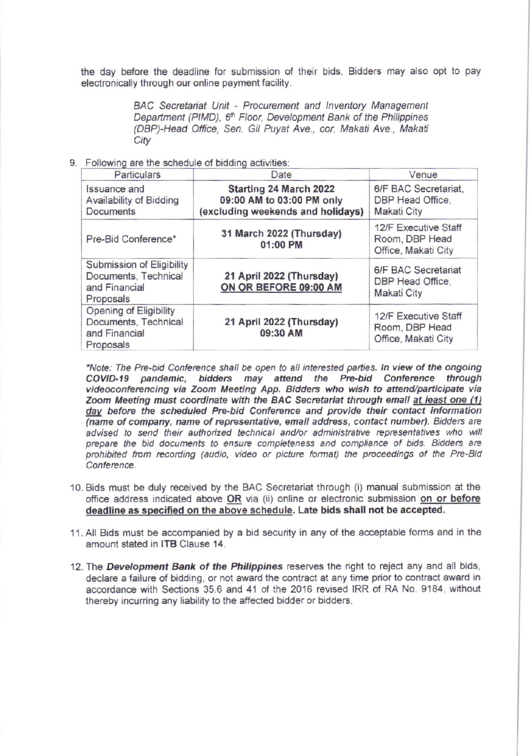the day before the deadline for submission of their bids. Bidders may also opt to pay electronically through our online payment facility.

> BAC Secretariat Unit - Procurement and Inventory Management Department (PIMD), 6th Floor, Development Bank of the Philippines (DBP)-Head Office, Sen. Gil Puyat Ave., cor. Makati Ave., Makati City

## 9. Following are the schedule of bidding activities:

| Particulars                                                                         | Date                                                                                            | Venue                                                         |
|-------------------------------------------------------------------------------------|-------------------------------------------------------------------------------------------------|---------------------------------------------------------------|
| <b>Issuance and</b><br>Availability of Bidding<br>Documents                         | <b>Starting 24 March 2022</b><br>09:00 AM to 03:00 PM only<br>(excluding weekends and holidays) | 6/F BAC Secretariat,<br>DBP Head Office.<br>Makati City       |
| Pre-Bid Conference*                                                                 | 31 March 2022 (Thursday)<br>01:00 PM                                                            | 12/F Executive Staff<br>Room, DBP Head<br>Office, Makati City |
| Submission of Eligibility<br>Documents, Technical<br>and Financial<br>Proposals     | 21 April 2022 (Thursday)<br>ON OR BEFORE 09:00 AM                                               | 6/F BAC Secretariat<br>DBP Head Office,<br><b>Makati City</b> |
| <b>Opening of Eligibility</b><br>Documents, Technical<br>and Financial<br>Proposals | 21 April 2022 (Thursday)<br>09:30 AM                                                            | 12/F Executive Staff<br>Room, DBP Head<br>Office, Makati City |

\*Note: The Pre-bid Conference shall be open to all interested parties. In view of the ongoing COVID-19 pandemic, bidders may attend the Pre-bid Conference through<br>videoconferencing via Zoom Meeting App. Bidders who wish to attend/participate via Zoom Meeting must coordinate with the BAC Secretariat through email at least one (1) day before the scheduled Pre-bid Conference and provide their contact information (name of company, name of representative, email address, contact number). Bidders are advised to send their authorized technical and/or administrative representatives who will prepare the bid documents to ensure completeness and compliance of bids. Bidders are prohibited from recording (audio, video or picture format) the proceedings of the Pre-Bid Conference.

- 10. Bids must be duly received by the BAC Secretariat through (i) manual submission at the office address indicated above OR via (ii) online or electronic submission on or before deadline as specified on the above schedule. Late bids shall not be accepted.
- 11. All Bids must be accompanied by a bid security in any of the acceptable forms and in the amount stated in **ITB** Clause 14.
- 12. The Development Bank of the Philippines reserves the right to reject any and all bids, declare a failure of bidding, or not award the contract at any time prior to contract award in accordance with Sections 35.6 and 41 of the 2016 revised IRR of RA No. 9184, without thereby incurring any liability to the affected bidder or bidders.